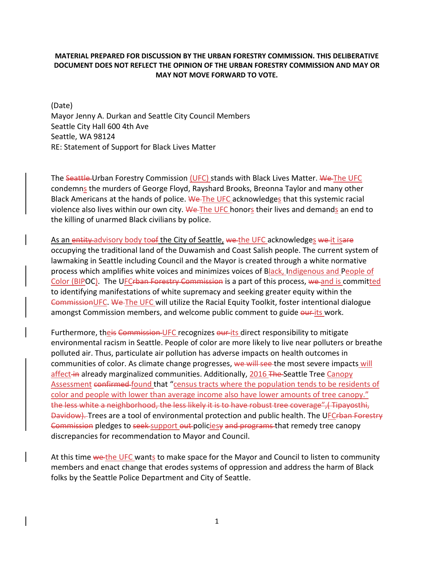## **MATERIAL PREPARED FOR DISCUSSION BY THE URBAN FORESTRY COMMISSION. THIS DELIBERATIVE DOCUMENT DOES NOT REFLECT THE OPINION OF THE URBAN FORESTRY COMMISSION AND MAY OR MAY NOT MOVE FORWARD TO VOTE.**

(Date) Mayor Jenny A. Durkan and Seattle City Council Members Seattle City Hall 600 4th Ave Seattle, WA 98124 RE: Statement of Support for Black Lives Matter

The Seattle-Urban Forestry Commission (UFC) stands with Black Lives Matter. We-The UFC condemns the murders of George Floyd, Rayshard Brooks, Breonna Taylor and many other Black Americans at the hands of police. We The UFC acknowledges that this systemic racial violence also lives within our own city. We The UFC honors their lives and demands an end to the killing of unarmed Black civilians by police.

As an entity advisory body toof the City of Seattle, we the UFC acknowledges we it is are occupying the traditional land of the Duwamish and Coast Salish people. The current system of lawmaking in Seattle including Council and the Mayor is created through a white normative process which amplifies white voices and minimizes voices of Black, Indigenous and People of Color (BIPOC). The UFCrban Forestry Commission is a part of this process, we and is committed to identifying manifestations of white supremacy and seeking greater equity within the CommissionUFC. We The UFC will utilize the Racial Equity Toolkit, foster intentional dialogue amongst Commission members, and welcome public comment to guide our its work.

Furthermore, the is Commission UFC recognizes our its direct responsibility to mitigate environmental racism in Seattle. People of color are more likely to live near polluters or breathe polluted air. Thus, particulate air pollution has adverse impacts on health outcomes in communities of color. As climate change progresses, we will see the most severe impacts will affect in already marginalized communities. Additionally, 2016 The Seattle Tree Canopy [Assessment](http://www.seattle.gov/Documents/Departments/Trees/Mangement/Canopy/Seattle2016CCAFinalReportFINAL.pdf) confirmed found that "census tracts where the population tends to be residents of color and people with lower than average income also have lower amounts of tree canopy." the less white a neighborhood, the less likely it is to have robust tree coverage",( Tipayosthi, Davidow). Trees are a tool of environmental protection and public health. The UFCrban Forestry Commission pledges to seek support out policiesy and programs that remedy tree canopy discrepancies for recommendation to Mayor and Council.

At this time we the UFC wants to make space for the Mayor and Council to listen to community members and enact change that erodes systems of oppression and address the harm of Black folks by the Seattle Police Department and City of Seattle.